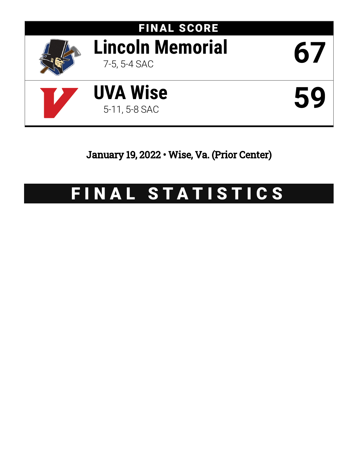

January 19, 2022 • Wise, Va. (Prior Center)

# FINAL STATISTICS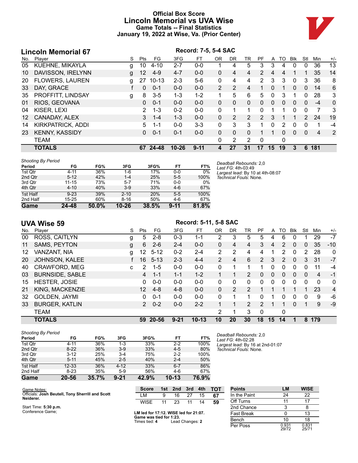# **Official Box Score Lincoln Memorial vs UVA Wise Game Totals -- Final Statistics January 19, 2022 at Wise, Va. (Prior Center)**



|     | <b>Lincoln Memorial 67</b> |   | Record: 7-5, 5-4 SAC |           |           |          |                |                |                |                |              |          |             |              |                |       |
|-----|----------------------------|---|----------------------|-----------|-----------|----------|----------------|----------------|----------------|----------------|--------------|----------|-------------|--------------|----------------|-------|
| No. | Player                     | S | Pts                  | FG.       | 3FG       | FT       | 0 <sub>R</sub> | <b>DR</b>      | TR             | PF             | A            | TO       | <b>B</b> lk | Stl          | Min            | $+/-$ |
| 05  | KUEHNE, MIKAYLA            | g | 10                   | $4 - 10$  | $2 - 7$   | $0 - 0$  |                | 4              | 5              | 3              | 3            | 4        | $\Omega$    | 0            | 36             | 13    |
| 10  | DAVISSON, IRELYNN          | g | 12                   | $4-9$     | $4 - 7$   | $0 - 0$  | 0              | 4              | 4              | $\overline{2}$ | 4            | 4        |             |              | 35             | 14    |
| 20  | <b>FLOWERS, LAUREN</b>     | g | 27                   | $10 - 13$ | $2 - 3$   | $5-6$    | 0              | 4              | 4              | 2              | 3            | 3        | $\Omega$    | 3            | 36             | 8     |
| 33  | DAY, GRACE                 | t | 0                    | $0 - 1$   | $0 - 0$   | $0 - 0$  | $\mathcal{P}$  | $\mathcal{P}$  | 4              | 1              | $\Omega$     | 1        | $\Omega$    | $\mathbf{0}$ | 14             | 6     |
| 35  | PROFFITT, LINDSAY          | g | 8                    | $3 - 5$   | $1 - 3$   | $1 - 2$  |                | 5              | 6              | 5              | $\mathbf{0}$ | 3        |             | $\mathbf{0}$ | 28             | 3     |
| 01  | RIOS, GEOVANA              |   | $\Omega$             | $0 - 1$   | $0 - 0$   | $0 - 0$  | $\Omega$       | $\Omega$       | 0              | 0              | $\mathbf{0}$ | 0        | $\Omega$    | $\Omega$     | $-4$           | 0     |
| 04  | KISER, LEXI                |   | 2                    | $1 - 3$   | $0 - 2$   | $0-0$    | 0              | 1              | 1              | 0              |              | 1        | $\Omega$    | $\Omega$     | $\overline{7}$ | 3     |
| 12  | CANADAY, ALEX              |   | 3.                   | $1 - 4$   | $1 - 3$   | $0 - 0$  | 0              | $\overline{2}$ | $\overline{2}$ | $\mathcal{P}$  | 3            |          |             | 2            | 24             | 19    |
| 14  | KIRKPATRICK, ADDI          |   | 5                    | 1-1       | $0 - 0$   | $3 - 3$  | 0              | 3              | 3              |                | 0            | 2        | 0           | 0            | 1              | -4    |
| 23  | <b>KENNY, KASSIDY</b>      |   | 0                    | $0 - 1$   | $0 - 1$   | $0 - 0$  | $\Omega$       | $\Omega$       | $\Omega$       |                |              | $\Omega$ | $\Omega$    | $\Omega$     | 4              | 2     |
|     | <b>TEAM</b>                |   |                      |           |           |          | 0              | 2              | $\overline{2}$ | 0              |              | 0        |             |              |                |       |
|     | <b>TOTALS</b>              |   | 67                   | 24-48     | $10 - 26$ | $9 - 11$ | 4              | 27             | 31             | 17             | 15           | 19       | 3           | 6            | 181            |       |

| <b>Shooting By Period</b> |           |       |           |       |          |       |
|---------------------------|-----------|-------|-----------|-------|----------|-------|
| Period                    | FG        | FG%   | 3FG       | 3FG%  | FT       | FT%   |
| 1st Qtr                   | $4 - 11$  | 36%   | 1-6       | 17%   | $0 - 0$  | $0\%$ |
| 2nd Qtr                   | $5 - 12$  | 42%   | $1 - 4$   | 25%   | $5 - 5$  | 100%  |
| 3rd Qtr                   | $11 - 15$ | 73%   | $5 - 7$   | 71%   | $0 - 0$  | 0%    |
| 4th Qtr                   | $4 - 10$  | 40%   | $3-9$     | 33%   | $4-6$    | 67%   |
| 1st Half                  | $9 - 23$  | 39%   | $2 - 10$  | 20%   | $5 - 5$  | 100%  |
| 2nd Half                  | $15 - 25$ | 60%   | $8 - 16$  | 50%   | $4-6$    | 67%   |
| Game                      | $24 - 48$ | 50.0% | $10 - 26$ | 38.5% | $9 - 11$ | 81.8% |

*Deadball Rebounds:* 2,0 *Last FG:* 4th-03:49 *Largest lead:* By 10 at 4th-08:07 *Technical Fouls:* None.

|  | <b>UVA Wise 59</b> |  |
|--|--------------------|--|
|--|--------------------|--|

# **UVA Wise 59 Record: 5-11, 5-8 SAC**

| No. | Player                 | S  | Pts            | FG.      | 3FG      | FT.       | 0 <sub>R</sub> | DR | TR | PF            | A  | TO | Blk          | Stl | Min | $+/-$        |
|-----|------------------------|----|----------------|----------|----------|-----------|----------------|----|----|---------------|----|----|--------------|-----|-----|--------------|
| 00  | ROSS, CAITLYN          | g  | 5              | $2 - 8$  | $0 - 3$  | 1-1       | 2              | 3  | 5  | 5             | 4  | 6  | 0            |     | 29  | $-7$         |
| 11  | SAMS, PEYTON           | g  | 6              | $2 - 6$  | $2 - 4$  | $0 - 0$   | 0              | 4  | 4  | 3             | 4  | 2  | $\mathbf{0}$ | 0   | 35  | $-10$        |
| 12  | VANZANT, NIA           | g  | 12.            | $5 - 12$ | $0 - 2$  | $2 - 4$   | $\overline{2}$ | 2  | 4  | 4             |    | 2  | 0            | 2   | 28  | $\mathbf{0}$ |
| 20  | JOHNSON, KALEE         |    | 16             | $5 - 13$ | $2 - 3$  | $4 - 4$   | $\overline{2}$ | 4  | 6  | $\mathcal{P}$ | 3  | 2  | $\Omega$     | 3   | 31  | $-7$         |
| 40  | <b>CRAWFORD, MEG</b>   | C. | 2              | $1 - 5$  | $0 - 0$  | $0 - 0$   | 0              |    |    |               | 0  | 0  | 0            | 0   | 11  | $-4$         |
| 03  | <b>BURNSIDE, SABLE</b> |    | 4              | $1 - 1$  | $1 - 1$  | $1 - 2$   |                |    | 2. | 0             | 0  | 0  | $\mathbf{0}$ | 0   | 4   | $-1$         |
| 15  | <b>HESTER, JOSIE</b>   |    | 0              | $0 - 0$  | $0 - 0$  | $0 - 0$   | 0              | 0  | 0  | 0             | 0  | 0  | 0            | 0   | 0   | 0            |
| 21  | KING, MACKENZIE        |    | 12             | $4 - 8$  | $4 - 8$  | $0 - 0$   | 0              | 2  | 2  |               | 1  |    |              |     | 23  | 4            |
| 32  | GOLDEN, JAYMI          |    | 0              | $0 - 1$  | $0 - 0$  | $0 - 0$   | 0              |    |    | 0             | 1  | 0  | $\mathbf{0}$ | 0   | 9   | -6           |
| 33  | <b>BURGER, KATLIN</b>  |    | $\overline{2}$ | $0 - 2$  | $0 - 0$  | $2 - 2$   |                |    | 2  | $\mathcal{P}$ | 1  |    | $\Omega$     |     | 9   | $-9$         |
|     | <b>TEAM</b>            |    |                |          |          |           | 2              |    | 3  | $\Omega$      |    | 0  |              |     |     |              |
|     | <b>TOTALS</b>          |    | 59             | 20-56    | $9 - 21$ | $10 - 13$ | 10             | 20 | 30 | 18            | 15 | 14 |              | 8   | 179 |              |

| <b>Shooting By Period</b> |           |       |          |       |           |       |
|---------------------------|-----------|-------|----------|-------|-----------|-------|
| Period                    | FG        | FG%   | 3FG      | 3FG%  | FT        | FT%   |
| 1st Qtr                   | $4 - 11$  | 36%   | 1-3      | 33%   | $2 - 2$   | 100%  |
| 2nd Qtr                   | $8-22$    | 36%   | $3-9$    | 33%   | $4 - 5$   | 80%   |
| 3rd Qtr                   | $3 - 12$  | 25%   | $3 - 4$  | 75%   | $2 - 2$   | 100%  |
| 4th Qtr                   | $5 - 11$  | 45%   | $2 - 5$  | 40%   | $2 - 4$   | 50%   |
| 1st Half                  | $12 - 33$ | 36%   | $4 - 12$ | 33%   | $6 - 7$   | 86%   |
| 2nd Half                  | $8 - 23$  | 35%   | $5-9$    | 56%   | $4-6$     | 67%   |
| Game                      | 20-56     | 35.7% | $9 - 21$ | 42.9% | $10 - 13$ | 76.9% |

| Game Notes:                                      |  |
|--------------------------------------------------|--|
| Officials: Josh Beutell, Tony Sherrill and Scott |  |
| Neiderer.                                        |  |

Start Time: **5:30 p.m.** Conference Game;

| <b>Score</b> |    | 1st 2nd 3rd |    | 4th | тот |
|--------------|----|-------------|----|-----|-----|
| M            | q  | 16          | 27 | 15  | 67  |
| WISE         | 11 | 23          | 11 | 14  | 59  |

| LM led for 17:12. WISE led for 21:07. |                 |  |  |  |  |  |  |  |  |
|---------------------------------------|-----------------|--|--|--|--|--|--|--|--|
| Game was tied for 1:23.               |                 |  |  |  |  |  |  |  |  |
| Times tied: 4                         | Lead Changes: 2 |  |  |  |  |  |  |  |  |

| <b>Points</b>     | LМ             | <b>WISE</b>    |
|-------------------|----------------|----------------|
| In the Paint      | 24             | 22             |
| Off Turns         | 11             | 17             |
| 2nd Chance        | 3              | 8              |
| <b>Fast Break</b> |                | 13             |
| Bench             | 10             | 18             |
| Per Poss          | 0.931<br>29/72 | 0.831<br>25/71 |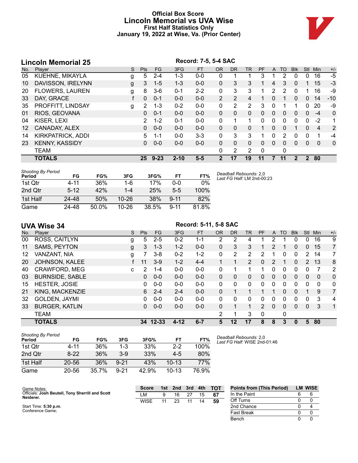# **Official Box Score Lincoln Memorial vs UVA Wise First Half Statistics Only January 19, 2022 at Wise, Va. (Prior Center)**



# **Lincoln Memorial 25**<br>No. Player **Record: 7-5, 5-4 SAC**<br>S Pts FG 3FG FT OR DF No. Player S Pts FG 3FG FT OR DR TR PF A TO Blk Stl Min +/- 05 KUEHNE, MIKAYLA g 5 2-4 1-3 0-0 0 1 1 3 1 2 0 0 16 -5 10 DAVISSON, IRELYNN g 3 1-5 1-3 0-0 0 3 3 1 4 3 0 1 15 -3 20 FLOWERS, LAUREN g 8 3-6 0-1 2-2 0 3 3 1 2 2 0 1 16 -9 33 DAY, GRACE f 0 0-1 0-0 0-0 2 2 4 1 0 1 0 0 14 -10 35 PROFFITT, LINDSAY g 2 1-3 0-2 0-0 0 2 2 3 0 1 1 0 20 -9 01 RIOS, GEOVANA 0 0-1 0-0 0-0 0 0 0 0 0 0 0 0 -4 0 04 KISER, LEXI 2 1-2 0-1 0-0 0 1 1 0 0 0 0 0 -2 1 12 CANADAY, ALEX 0 0-0 0-0 0-0 0 0 0 1 0 0 1 0 4 2 14 KIRKPATRICK, ADDI 5 1-1 0-0 3-3 0 3 3 1 0 2 0 0 1 -4 23 KENNY, KASSIDY 0 0-0 0-0 0-0 0 0 0 0 0 0 0 0 0 0 TEAM 0 2 2 0 0 **TOTALS 25 9-23 2-10 5-5 2 17 19 11 7 11 2 2 80**

| Shooting By Period<br>Period | FG       | FG%   | 3FG       | 3FG%  | FT       | FT%   |
|------------------------------|----------|-------|-----------|-------|----------|-------|
| 1st Qtr                      | 4-11     | 36%   | 1-6       | 17%   | 0-0      | 0%    |
| 2nd Qtr                      | $5 - 12$ | 42%   | $1-4$     | 25%   | $5-5$    | 100%  |
| 1st Half                     | 24-48    | 50%   | $10 - 26$ | 38%   | $9 - 11$ | 82%   |
| Game                         | 24-48    | 50.0% | 10-26     | 38.5% | $9 - 11$ | 81.8% |

*Deadball Rebounds:* 2,0 *Last FG Half:* LM 2nd-00:23

|     | <b>UVA Wise 34</b>     |   |            |          |          | Record: 5-11, 5-8 SAC |           |           |              |               |              |          |            |               |              |                |
|-----|------------------------|---|------------|----------|----------|-----------------------|-----------|-----------|--------------|---------------|--------------|----------|------------|---------------|--------------|----------------|
| No. | Player                 | S | <b>Pts</b> | FG.      | 3FG      | <b>FT</b>             | <b>OR</b> | <b>DR</b> | <b>TR</b>    | <b>PF</b>     | A            | TO       | <b>BIK</b> | <b>Stl</b>    | Min          | $+/-$          |
| 00  | ROSS, CAITLYN          | g | 5          | $2 - 5$  | $0 - 2$  | $1 - 1$               | 2         | 2         | 4            |               | 2            |          | 0          | 0             | 16           | 9              |
| 11  | <b>SAMS, PEYTON</b>    | g | 3          | $1 - 3$  | $1 - 2$  | $0 - 0$               | 0         | 3         | 3            |               | 2            |          | 0          | $\Omega$      | 15           | $\overline{7}$ |
| 12  | VANZANT, NIA           | g |            | $3 - 8$  | $0 - 2$  | $1 - 2$               | 0         | 2         | 2            | 2             |              | 0        | 0          | 2             | 14           | 7              |
| 20  | JOHNSON, KALEE         |   | 11         | $3-9$    | $1 - 2$  | $4 - 4$               | 1.        |           | 2            | $\Omega$      | 2            | 1        | $\Omega$   | $\mathcal{P}$ | 13           | 8              |
| 40  | CRAWFORD, MEG          | C | 2          | 1-4      | $0 - 0$  | $0-0$                 | 0         | 1         | 1            |               | 0            | 0        | 0          | 0             |              | 2              |
| 03  | <b>BURNSIDE, SABLE</b> |   | 0          | $0 - 0$  | $0 - 0$  | $0 - 0$               | 0         | 0         | 0            | 0             | $\mathbf{0}$ | 0        | 0          | $\Omega$      | $\mathbf{0}$ | $\mathbf 0$    |
| 15  | <b>HESTER, JOSIE</b>   |   | 0          | $0 - 0$  | $0 - 0$  | $0-0$                 | 0         | $\Omega$  | 0            | 0             | 0            | 0        | 0          | 0             | $\Omega$     | 0              |
| 21  | KING, MACKENZIE        |   | 6          | $2 - 4$  | $2 - 4$  | $0 - 0$               | $\Omega$  | 1         | $\mathbf 1$  |               |              | $\Omega$ | $\Omega$   |               | 9            | 7              |
| 32  | GOLDEN, JAYMI          |   | $\Omega$   | $0 - 0$  | $0 - 0$  | $0-0$                 | $\Omega$  | $\Omega$  | $\mathbf{0}$ | 0             | $\mathbf{0}$ | $\Omega$ | 0          | $\Omega$      | 3            | 4              |
| 33  | <b>BURGER, KATLIN</b>  |   | 0          | $0 - 0$  | $0 - 0$  | $0 - 0$               | 0         | 1         | $\mathbf{1}$ | $\mathcal{P}$ | $\Omega$     | 0        | $\Omega$   | $\Omega$      | 3            | $\mathbf 1$    |
|     | <b>TEAM</b>            |   |            |          |          |                       | 2         | 1         | 3            | 0             |              | 0        |            |               |              |                |
|     | <b>TOTALS</b>          |   |            | 34 12-33 | $4 - 12$ | $6 - 7$               | 5         | 12        | 17           | 8             | 8            | 3        | $\bf{0}$   | 5             | 80           |                |
|     |                        |   |            |          |          |                       |           |           |              |               |              |          |            |               |              |                |

| <b>Shooting By Period</b><br>Period | FG        | FG%   | 3FG      | 3FG%     | FT        | FT%   |
|-------------------------------------|-----------|-------|----------|----------|-----------|-------|
| 1st Otr                             | 4-11      | 36%   | 1-3      | 33%      | $2-2$     | 100%  |
| 2nd Otr                             | $8 - 22$  | 36%   | $3-9$    | 33%      | $4-5$     | 80%   |
| 1st Half                            | $20 - 56$ | 36%   | $9 - 21$ | 43%      | $10-13$   | 77%   |
| Game                                | 20-56     | 35.7% | $9 - 21$ | $42.9\%$ | $10 - 13$ | 76.9% |

*Deadball Rebounds:* 2,0 *Last FG Half:* WISE 2nd-01:46

| Game Notes:                                                   | <b>Score</b> | 1st | 2 <sub>nd</sub> | 3rd | 4th | <b>TOT</b> | <b>Points from (This Period)</b> | <b>LM WISE</b> |
|---------------------------------------------------------------|--------------|-----|-----------------|-----|-----|------------|----------------------------------|----------------|
| Officials: Josh Beutell, Tony Sherrill and Scott<br>Neiderer. | ∟M           |     | 16              | דר  | 15  | 67         | In the Paint                     |                |
|                                                               | <b>WISE</b>  |     | 23              |     | 14  | 59         | Off Turns                        |                |
| Start Time: 5:30 p.m.                                         |              |     |                 |     |     |            | 2nd Chance                       |                |
| Conference Game;                                              |              |     |                 |     |     |            | <b>Fast Break</b>                |                |
|                                                               |              |     |                 |     |     |            | Bench                            |                |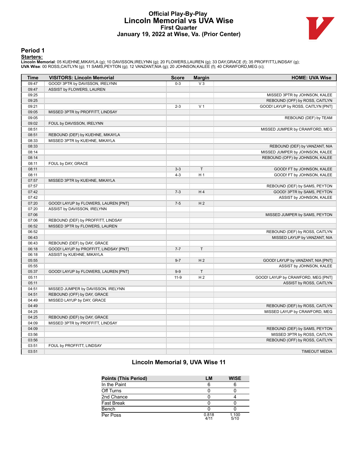# **Official Play-By-Play Lincoln Memorial vs UVA Wise First Quarter January 19, 2022 at Wise, Va. (Prior Center)**



### **Period 1**

<mark>Starters:</mark><br>Lincoln Memorial: 05 KUEHNE,MIKAYLA (g); 10 DAVISSON,IRELYNN (g); 20 FLOWERS,LAUREN (g); 33 DAY,GRACE (f); 35 PROFFITT,LINDSAY (g);<br>**UVA Wise**: 00 ROSS,CAITLYN (g); 11 SAMS,PEYTON (g); 12 VANZANT,NIA (g); 20 JO

| <b>Time</b> | <b>VISITORS: Lincoln Memorial</b>      | <b>Score</b> | <b>Margin</b>  | <b>HOME: UVA Wise</b>                                          |
|-------------|----------------------------------------|--------------|----------------|----------------------------------------------------------------|
| 09:47       | GOOD! 3PTR by DAVISSON, IRELYNN        | $0 - 3$      | $V_3$          |                                                                |
| 09:47       | ASSIST by FLOWERS, LAUREN              |              |                |                                                                |
| 09:25       |                                        |              |                | MISSED 3PTR by JOHNSON, KALEE                                  |
| 09:25       |                                        |              |                | REBOUND (OFF) by ROSS, CAITLYN                                 |
| 09:21       |                                        | $2 - 3$      | V <sub>1</sub> | GOOD! LAYUP by ROSS, CAITLYN [PNT]                             |
| 09:05       | MISSED 3PTR by PROFFITT, LINDSAY       |              |                |                                                                |
| 09:05       |                                        |              |                | REBOUND (DEF) by TEAM                                          |
| 09:02       | FOUL by DAVISSON, IRELYNN              |              |                |                                                                |
| 08:51       |                                        |              |                | MISSED JUMPER by CRAWFORD, MEG                                 |
| 08:51       | REBOUND (DEF) by KUEHNE, MIKAYLA       |              |                |                                                                |
| 08:33       | MISSED 3PTR by KUEHNE, MIKAYLA         |              |                |                                                                |
| 08:33       |                                        |              |                | REBOUND (DEF) by VANZANT, NIA                                  |
| 08:14       |                                        |              |                | MISSED JUMPER by JOHNSON, KALEE                                |
| 08:14       |                                        |              |                | REBOUND (OFF) by JOHNSON, KALEE                                |
| 08:11       | FOUL by DAY, GRACE                     |              |                |                                                                |
| 08:11       |                                        | $3 - 3$      | $\top$         | GOOD! FT by JOHNSON, KALEE                                     |
| 08:11       |                                        | $4 - 3$      | H <sub>1</sub> | GOOD! FT by JOHNSON, KALEE                                     |
| 07:57       | MISSED 3PTR by KUEHNE, MIKAYLA         |              |                |                                                                |
| 07:57       |                                        |              |                | REBOUND (DEF) by SAMS, PEYTON                                  |
| 07:42       |                                        | $7 - 3$      | H <sub>4</sub> | GOOD! 3PTR by SAMS, PEYTON                                     |
| 07:42       |                                        |              |                | ASSIST by JOHNSON, KALEE                                       |
| 07:20       | GOOD! LAYUP by FLOWERS, LAUREN [PNT]   | $7 - 5$      | H <sub>2</sub> |                                                                |
| 07:20       | ASSIST by DAVISSON, IRELYNN            |              |                |                                                                |
| 07:06       |                                        |              |                | MISSED JUMPER by SAMS, PEYTON                                  |
| 07:06       | REBOUND (DEF) by PROFFITT, LINDSAY     |              |                |                                                                |
| 06:52       | MISSED 3PTR by FLOWERS, LAUREN         |              |                |                                                                |
| 06:52       |                                        |              |                | REBOUND (DEF) by ROSS, CAITLYN                                 |
| 06:43       |                                        |              |                | MISSED LAYUP by VANZANT, NIA                                   |
| 06:43       | REBOUND (DEF) by DAY, GRACE            |              |                |                                                                |
| 06:18       | GOOD! LAYUP by PROFFITT, LINDSAY [PNT] | $7 - 7$      | T              |                                                                |
| 06:18       | ASSIST by KUEHNE, MIKAYLA              |              |                |                                                                |
| 05:55       |                                        | $9 - 7$      | H <sub>2</sub> | GOOD! LAYUP by VANZANT, NIA [PNT]                              |
| 05:55       |                                        |              |                | ASSIST by JOHNSON, KALEE                                       |
| 05:37       | GOOD! LAYUP by FLOWERS, LAUREN [PNT]   | $9 - 9$      | T              |                                                                |
| 05:11       |                                        | $11-9$       | H <sub>2</sub> | GOOD! LAYUP by CRAWFORD, MEG [PNT]                             |
| 05:11       |                                        |              |                | ASSIST by ROSS, CAITLYN                                        |
| 04:51       | MISSED JUMPER by DAVISSON, IRELYNN     |              |                |                                                                |
| 04:51       | REBOUND (OFF) by DAY, GRACE            |              |                |                                                                |
| 04:49       | MISSED LAYUP by DAY, GRACE             |              |                |                                                                |
| 04:49       |                                        |              |                | REBOUND (DEF) by ROSS, CAITLYN                                 |
| 04:25       |                                        |              |                | MISSED LAYUP by CRAWFORD, MEG                                  |
| 04:25       | REBOUND (DEF) by DAY, GRACE            |              |                |                                                                |
| 04:09       | MISSED 3PTR by PROFFITT, LINDSAY       |              |                |                                                                |
| 04:09       |                                        |              |                |                                                                |
| 03:56       |                                        |              |                | REBOUND (DEF) by SAMS, PEYTON                                  |
| 03:56       |                                        |              |                | MISSED 3PTR by ROSS, CAITLYN<br>REBOUND (OFF) by ROSS, CAITLYN |
| 03:51       |                                        |              |                |                                                                |
|             | FOUL by PROFFITT, LINDSAY              |              |                |                                                                |
| 03:51       |                                        |              |                | <b>TIMEOUT MEDIA</b>                                           |

# **Lincoln Memorial 9, UVA Wise 11**

| <b>Points (This Period)</b> | LM            | <b>WISE</b>   |
|-----------------------------|---------------|---------------|
| In the Paint                | 6             |               |
| Off Turns                   |               |               |
| 2nd Chance                  |               |               |
| <b>Fast Break</b>           |               |               |
| Bench                       |               |               |
| Per Poss                    | 0.818<br>4/11 | 1.100<br>5/10 |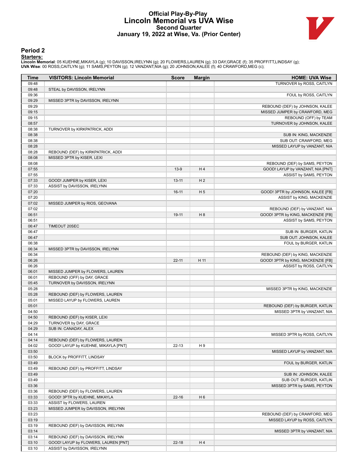# **Official Play-By-Play Lincoln Memorial vs UVA Wise Second Quarter January 19, 2022 at Wise, Va. (Prior Center)**



### **Period 2**

<mark>Starters:</mark><br>Lincoln Memorial: 05 KUEHNE,MIKAYLA (g); 10 DAVISSON,IRELYNN (g); 20 FLOWERS,LAUREN (g); 33 DAY,GRACE (f); 35 PROFFITT,LINDSAY (g);<br>**UVA Wise**: 00 ROSS,CAITLYN (g); 11 SAMS,PEYTON (g); 12 VANZANT,NIA (g); 20 JO

| <b>Time</b>    | <b>VISITORS: Lincoln Memorial</b>                      | <b>Score</b> | <b>Margin</b>  | <b>HOME: UVA Wise</b>                             |
|----------------|--------------------------------------------------------|--------------|----------------|---------------------------------------------------|
| 09:48          |                                                        |              |                | TURNOVER by ROSS, CAITLYN                         |
| 09:48          | STEAL by DAVISSON, IRELYNN                             |              |                |                                                   |
| 09:36          |                                                        |              |                | FOUL by ROSS, CAITLYN                             |
| 09:29          | MISSED 3PTR by DAVISSON, IRELYNN                       |              |                |                                                   |
| 09:29          |                                                        |              |                | REBOUND (DEF) by JOHNSON, KALEE                   |
| 09:15          |                                                        |              |                | MISSED JUMPER by CRAWFORD, MEG                    |
| 09:15          |                                                        |              |                | REBOUND (OFF) by TEAM                             |
| 08:57          |                                                        |              |                | TURNOVER by JOHNSON, KALEE                        |
| 08:38<br>08:38 | TURNOVER by KIRKPATRICK, ADDI                          |              |                | SUB IN: KING, MACKENZIE                           |
| 08:38          |                                                        |              |                | SUB OUT: CRAWFORD, MEG                            |
| 08:28          |                                                        |              |                | MISSED LAYUP by VANZANT, NIA                      |
| 08:28          | REBOUND (DEF) by KIRKPATRICK, ADDI                     |              |                |                                                   |
| 08:08          | MISSED 3PTR by KISER, LEXI                             |              |                |                                                   |
| 08:08          |                                                        |              |                | REBOUND (DEF) by SAMS, PEYTON                     |
| 07:55          |                                                        | $13-9$       | H4             | GOOD! LAYUP by VANZANT, NIA [PNT]                 |
| 07:55          |                                                        |              |                | ASSIST by SAMS, PEYTON                            |
| 07:33          | GOOD! JUMPER by KISER, LEXI                            | $13 - 11$    | H <sub>2</sub> |                                                   |
| 07:33          | ASSIST by DAVISSON, IRELYNN                            |              |                |                                                   |
| 07:20          |                                                        | $16-11$      | H <sub>5</sub> | GOOD! 3PTR by JOHNSON, KALEE [FB]                 |
| 07:20          |                                                        |              |                | ASSIST by KING, MACKENZIE                         |
| 07:02          | MISSED JUMPER by RIOS, GEOVANA                         |              |                |                                                   |
| 07:02          |                                                        |              |                | REBOUND (DEF) by VANZANT, NIA                     |
| 06:51          |                                                        | 19-11        | H <sub>8</sub> | GOOD! 3PTR by KING, MACKENZIE [FB]                |
| 06:51          |                                                        |              |                | ASSIST by SAMS, PEYTON                            |
| 06:47<br>06:47 | TIMEOUT 20SEC                                          |              |                |                                                   |
| 06:47          |                                                        |              |                | SUB IN: BURGER, KATLIN<br>SUB OUT: JOHNSON, KALEE |
| 06:38          |                                                        |              |                | FOUL by BURGER, KATLIN                            |
| 06:34          | MISSED 3PTR by DAVISSON, IRELYNN                       |              |                |                                                   |
| 06:34          |                                                        |              |                | REBOUND (DEF) by KING, MACKENZIE                  |
| 06:26          |                                                        | $22 - 11$    | H 11           | GOOD! 3PTR by KING, MACKENZIE [FB]                |
| 06:26          |                                                        |              |                | ASSIST by ROSS, CAITLYN                           |
| 06:01          | MISSED JUMPER by FLOWERS, LAUREN                       |              |                |                                                   |
| 06:01          | REBOUND (OFF) by DAY, GRACE                            |              |                |                                                   |
| 05:45          | TURNOVER by DAVISSON, IRELYNN                          |              |                |                                                   |
| 05:28          |                                                        |              |                | MISSED 3PTR by KING, MACKENZIE                    |
| 05:28          | REBOUND (DEF) by FLOWERS, LAUREN                       |              |                |                                                   |
| 05:01          | MISSED LAYUP by FLOWERS, LAUREN                        |              |                |                                                   |
| 05:01          |                                                        |              |                | REBOUND (DEF) by BURGER, KATLIN                   |
| 04:50          |                                                        |              |                | MISSED 3PTR by VANZANT, NIA                       |
| 04:50<br>04:29 | REBOUND (DEF) by KISER, LEXI<br>TURNOVER by DAY, GRACE |              |                |                                                   |
| 04:29          | SUB IN: CANADAY, ALEX                                  |              |                |                                                   |
| 04:14          |                                                        |              |                | MISSED 3PTR by ROSS, CAITLYN                      |
| 04:14          | REBOUND (DEF) by FLOWERS, LAUREN                       |              |                |                                                   |
| 04:02          | GOOD! LAYUP by KUEHNE, MIKAYLA [PNT]                   | $22 - 13$    | H9             |                                                   |
| 03:50          |                                                        |              |                | MISSED LAYUP by VANZANT, NIA                      |
| 03:50          | BLOCK by PROFFITT, LINDSAY                             |              |                |                                                   |
| 03:49          |                                                        |              |                | FOUL by BURGER, KATLIN                            |
| 03:49          | REBOUND (DEF) by PROFFITT, LINDSAY                     |              |                |                                                   |
| 03:49          |                                                        |              |                | SUB IN: JOHNSON, KALEE                            |
| 03:49          |                                                        |              |                | SUB OUT: BURGER, KATLIN                           |
| 03:36          |                                                        |              |                | MISSED 3PTR by SAMS, PEYTON                       |
| 03:36          | REBOUND (DEF) by FLOWERS, LAUREN                       |              |                |                                                   |
| 03:33          | GOOD! 3PTR by KUEHNE, MIKAYLA                          | $22 - 16$    | H <sub>6</sub> |                                                   |
| 03:33          | ASSIST by FLOWERS, LAUREN                              |              |                |                                                   |
| 03:23          | MISSED JUMPER by DAVISSON, IRELYNN                     |              |                |                                                   |
| 03:23          |                                                        |              |                | REBOUND (DEF) by CRAWFORD, MEG                    |
| 03:19<br>03:19 | REBOUND (DEF) by DAVISSON, IRELYNN                     |              |                | MISSED LAYUP by ROSS, CAITLYN                     |
| 03:14          |                                                        |              |                | MISSED 3PTR by VANZANT, NIA                       |
| 03:14          | REBOUND (DEF) by DAVISSON, IRELYNN                     |              |                |                                                   |
| 03:10          | GOOD! LAYUP by FLOWERS, LAUREN [PNT]                   | $22 - 18$    | H4             |                                                   |
| 03:10          | ASSIST by DAVISSON, IRELYNN                            |              |                |                                                   |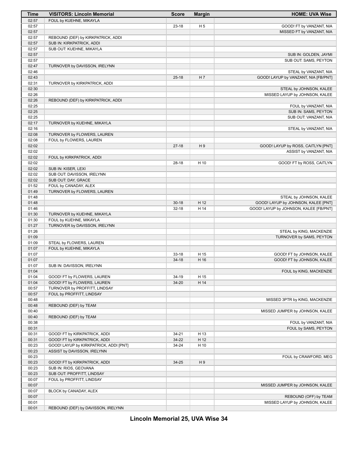| Time           | <b>VISITORS: Lincoln Memorial</b>                   | <b>Score</b> | <b>Margin</b>  | <b>HOME: UVA Wise</b>                  |
|----------------|-----------------------------------------------------|--------------|----------------|----------------------------------------|
| 02:57          | FOUL by KUEHNE, MIKAYLA                             |              |                |                                        |
| 02:57          |                                                     | $23 - 18$    | H <sub>5</sub> | GOOD! FT by VANZANT, NIA               |
| 02:57          |                                                     |              |                | MISSED FT by VANZANT, NIA              |
| 02:57          | REBOUND (DEF) by KIRKPATRICK, ADDI                  |              |                |                                        |
| 02:57          | SUB IN: KIRKPATRICK, ADDI                           |              |                |                                        |
| 02:57<br>02:57 | SUB OUT: KUEHNE, MIKAYLA                            |              |                | SUB IN: GOLDEN, JAYMI                  |
| 02:57          |                                                     |              |                | SUB OUT: SAMS, PEYTON                  |
| 02:47          | TURNOVER by DAVISSON, IRELYNN                       |              |                |                                        |
| 02:46          |                                                     |              |                | STEAL by VANZANT, NIA                  |
| 02:43          |                                                     | $25 - 18$    | H <sub>7</sub> | GOOD! LAYUP by VANZANT, NIA [FB/PNT]   |
| 02:31          | TURNOVER by KIRKPATRICK, ADDI                       |              |                |                                        |
| 02:30          |                                                     |              |                | STEAL by JOHNSON, KALEE                |
| 02:26          |                                                     |              |                | MISSED LAYUP by JOHNSON, KALEE         |
| 02:26          | REBOUND (DEF) by KIRKPATRICK, ADDI                  |              |                |                                        |
| 02:25          |                                                     |              |                | FOUL by VANZANT, NIA                   |
| 02:25          |                                                     |              |                | SUB IN: SAMS, PEYTON                   |
| 02:25<br>02:17 | TURNOVER by KUEHNE, MIKAYLA                         |              |                | SUB OUT: VANZANT, NIA                  |
| 02:16          |                                                     |              |                | STEAL by VANZANT, NIA                  |
| 02:08          | TURNOVER by FLOWERS, LAUREN                         |              |                |                                        |
| 02:08          | FOUL by FLOWERS, LAUREN                             |              |                |                                        |
| 02:02          |                                                     | $27-18$      | H9             | GOOD! LAYUP by ROSS, CAITLYN [PNT]     |
| 02:02          |                                                     |              |                | ASSIST by VANZANT, NIA                 |
| 02:02          | FOUL by KIRKPATRICK, ADDI                           |              |                |                                        |
| 02:02          |                                                     | $28-18$      | H 10           | GOOD! FT by ROSS, CAITLYN              |
| 02:02          | SUB IN: KISER, LEXI                                 |              |                |                                        |
| 02:02          | SUB OUT: DAVISSON, IRELYNN                          |              |                |                                        |
| 02:02<br>01:52 | SUB OUT: DAY, GRACE<br>FOUL by CANADAY, ALEX        |              |                |                                        |
| 01:49          | TURNOVER by FLOWERS, LAUREN                         |              |                |                                        |
| 01:48          |                                                     |              |                | STEAL by JOHNSON, KALEE                |
| 01:48          |                                                     | $30 - 18$    | H 12           | GOOD! LAYUP by JOHNSON, KALEE [PNT]    |
| 01:46          |                                                     | $32 - 18$    | H 14           | GOOD! LAYUP by JOHNSON, KALEE [FB/PNT] |
| 01:30          | TURNOVER by KUEHNE, MIKAYLA                         |              |                |                                        |
| 01:30          | FOUL by KUEHNE, MIKAYLA                             |              |                |                                        |
| 01:27          | TURNOVER by DAVISSON, IRELYNN                       |              |                |                                        |
| 01:26          |                                                     |              |                | STEAL by KING, MACKENZIE               |
| 01:09          |                                                     |              |                | TURNOVER by SAMS, PEYTON               |
| 01:09<br>01:07 | STEAL by FLOWERS, LAUREN<br>FOUL by KUEHNE, MIKAYLA |              |                |                                        |
| 01:07          |                                                     | $33-18$      | H 15           | GOOD! FT by JOHNSON, KALEE             |
| 01:07          |                                                     | $34-18$      | H 16           | GOOD! FT by JOHNSON, KALEE             |
| 01:07          | SUB IN: DAVISSON, IRELYNN                           |              |                |                                        |
| 01:04          |                                                     |              |                | FOUL by KING, MACKENZIE                |
| 01:04          | GOOD! FT by FLOWERS, LAUREN                         | 34-19        | H 15           |                                        |
| 01:04          | GOOD! FT by FLOWERS, LAUREN                         | 34-20        | H 14           |                                        |
| 00:57          | TURNOVER by PROFFITT, LINDSAY                       |              |                |                                        |
| 00:57          | FOUL by PROFFITT, LINDSAY                           |              |                |                                        |
| 00:48<br>00:48 |                                                     |              |                | MISSED 3PTR by KING, MACKENZIE         |
| 00:40          | REBOUND (DEF) by TEAM                               |              |                | MISSED JUMPER by JOHNSON, KALEE        |
| 00:40          | REBOUND (DEF) by TEAM                               |              |                |                                        |
| 00:38          |                                                     |              |                | FOUL by VANZANT, NIA                   |
| 00:31          |                                                     |              |                | FOUL by SAMS, PEYTON                   |
| 00:31          | GOOD! FT by KIRKPATRICK, ADDI                       | $34 - 21$    | H 13           |                                        |
| 00:31          | GOOD! FT by KIRKPATRICK, ADDI                       | 34-22        | H 12           |                                        |
| 00:23          | GOOD! LAYUP by KIRKPATRICK, ADDI [PNT]              | 34-24        | H 10           |                                        |
| 00:23          | ASSIST by DAVISSON, IRELYNN                         |              |                |                                        |
| 00:23          |                                                     |              |                | FOUL by CRAWFORD, MEG                  |
| 00:23          | GOOD! FT by KIRKPATRICK, ADDI                       | 34-25        | H9             |                                        |
| 00:23<br>00:23 | SUB IN: RIOS, GEOVANA<br>SUB OUT: PROFFITT, LINDSAY |              |                |                                        |
| 00:07          | FOUL by PROFFITT, LINDSAY                           |              |                |                                        |
| 00:07          |                                                     |              |                | MISSED JUMPER by JOHNSON, KALEE        |
| 00:07          | BLOCK by CANADAY, ALEX                              |              |                |                                        |
| 00:07          |                                                     |              |                | REBOUND (OFF) by TEAM                  |
| 00:01          |                                                     |              |                | MISSED LAYUP by JOHNSON, KALEE         |
| 00:01          | REBOUND (DEF) by DAVISSON, IRELYNN                  |              |                |                                        |

**Lincoln Memorial 25, UVA Wise 34**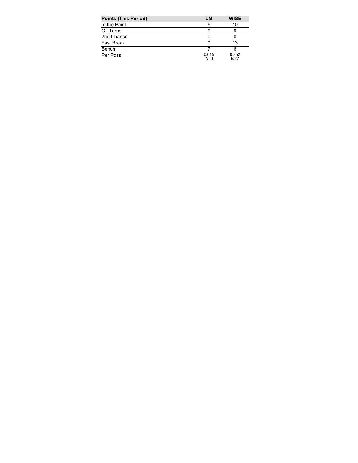| <b>Points (This Period)</b> | LM            | <b>WISE</b>   |
|-----------------------------|---------------|---------------|
| In the Paint                | 6             | 10            |
| Off Turns                   |               |               |
| 2nd Chance                  |               |               |
| <b>Fast Break</b>           |               | 13            |
| Bench                       |               |               |
| Per Poss                    | 0.615<br>7/26 | 0.852<br>9/27 |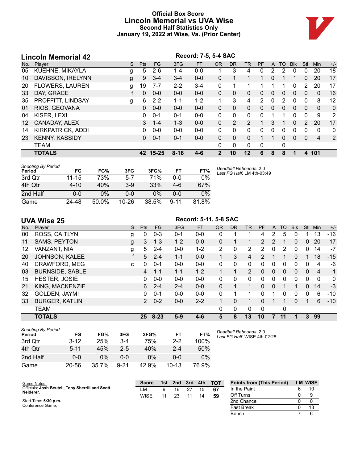# **Official Box Score Lincoln Memorial vs UVA Wise Second Half Statistics Only January 19, 2022 at Wise, Va. (Prior Center)**



|     | <b>Lincoln Memorial 42</b> |   |            |          |          | Record: 7-5, 5-4 SAC |                |              |                |                |              |          |              |                |              |       |
|-----|----------------------------|---|------------|----------|----------|----------------------|----------------|--------------|----------------|----------------|--------------|----------|--------------|----------------|--------------|-------|
| No. | Plaver                     | S | <b>Pts</b> | FG.      | 3FG      | <b>FT</b>            | <b>OR</b>      | <b>DR</b>    | <b>TR</b>      | <b>PF</b>      | A            | TO       | <b>B</b> lk  | Stl            | <b>Min</b>   | $+/-$ |
| 05  | KUEHNE, MIKAYLA            | g | 5          | $2 - 6$  | $1 - 4$  | $0 - 0$              |                | 3            | 4              | 0              | 2            | 2        | $\Omega$     | 0              | 20           | 18    |
| 10  | DAVISSON, IRELYNN          | g | 9          | $3 - 4$  | $3 - 4$  | $0 - 0$              | $\mathbf{0}$   |              |                |                | 0            |          |              | $\mathbf{0}$   | 20           | 17    |
| 20  | <b>FLOWERS, LAUREN</b>     | g | 19         | $7 - 7$  | $2 - 2$  | $3 - 4$              | 0              | 1            | 1              | 1              |              | 1        | $\Omega$     | 2              | 20           | 17    |
| 33  | DAY, GRACE                 |   | $\Omega$   | $0 - 0$  | $0 - 0$  | $0 - 0$              | 0              | 0            | $\Omega$       | 0              | $\mathbf{0}$ | $\Omega$ | $\Omega$     | 0              | $\mathbf{0}$ | 16    |
| 35  | PROFFITT, LINDSAY          | g | 6          | $2 - 2$  | $1 - 1$  | $1 - 2$              |                | 3            | 4              | $\overline{2}$ | $\mathbf{0}$ | 2        | $\Omega$     | 0              | 8            | 12    |
| 01  | RIOS, GEOVANA              |   | 0          | $0 - 0$  | $0 - 0$  | $0 - 0$              | $\Omega$       | $\Omega$     | $\Omega$       | 0              | $\Omega$     | $\Omega$ | $\Omega$     | $\Omega$       | $\Omega$     | 0     |
| 04  | KISER, LEXI                |   | 0          | $0 - 1$  | $0 - 1$  | $0-0$                | 0              | $\Omega$     | 0              | 0              |              | 1        | $\Omega$     | $\mathbf 0$    | 9            | 2     |
| 12  | CANADAY, ALEX              |   | 3          | $1 - 4$  | $1 - 3$  | $0 - 0$              | 0              | 2            | $\overline{2}$ |                | 3            |          | $\mathbf{0}$ | $\overline{2}$ | 20           | 17    |
| 14  | <b>KIRKPATRICK, ADDI</b>   |   | 0          | $0 - 0$  | $0 - 0$  | $0 - 0$              | $\Omega$       | 0            | 0              | 0              | 0            | 0        | 0            | $\Omega$       | 0            | 0     |
| 23  | <b>KENNY, KASSIDY</b>      |   | $\Omega$   | $0 - 1$  | $0 - 1$  | $0 - 0$              | $\Omega$       | $\Omega$     | $\Omega$       |                |              | $\Omega$ | $\Omega$     | $\Omega$       | 4            | 2     |
|     | TEAM                       |   |            |          |          |                      | 0              | $\mathbf{0}$ | 0              | 0              |              | 0        |              |                |              |       |
|     | <b>TOTALS</b>              |   |            | 42 15-25 | $8 - 16$ | 4-6                  | $\overline{2}$ | 10           | 12             | 6              | 8            | 8        |              | 4              | 101          |       |

| <b>Shooting By Period</b><br>Period | FG        | FG%   | 3FG       | 3FG%  | FT       | FT%   | Deadball Rebounds: 2,0<br>Last FG Half: LM 4th-03:49 |
|-------------------------------------|-----------|-------|-----------|-------|----------|-------|------------------------------------------------------|
| 3rd Qtr                             | $11 - 15$ | 73%   | $5 - 7$   | 71%   | 0-0      | $0\%$ |                                                      |
| 4th Qtr                             | $4 - 10$  | 40%   | $3-9$     | 33%   | 4-6      | 67%   |                                                      |
| 2nd Half                            | 0-0       | $0\%$ | 0-0       | 0%    | 0-0      | 0%    |                                                      |
| Game                                | 24-48     | 50.0% | $10 - 26$ | 38.5% | $9 - 11$ | 81.8% |                                                      |

**UVA Wise 25**<br>No. Player **Record: 5-11, 5-8 SAC**<br>S Pts FG 3FG FT OR DR No. Player S Pts FG 3FG FT OR DR TR PF A TO Blk Stl Min +/- ROSS, CAITLYN g 0 0-3 0-1 0-0 0 1 1 4 2 5 0 1 13 -16 SAMS, PEYTON g 3 1-3 1-2 0-0 0 1 1 2 2 1 0 0 20 -17 VANZANT, NIA g 5 2-4 0-0 1-2 2 0 2 2 0 2 0 0 14 -7 JOHNSON, KALEE f 5 2-4 1-1 0-0 1 3 4 2 1 1 0 1 18 -15 CRAWFORD, MEG c 0 0-1 0-0 0-0 0 0 0 0 0 0 0 0 4 -6 BURNSIDE, SABLE 4 1-1 1-1 1-2 1 1 2 0 0 0 0 0 4 -1 HESTER, JOSIE 0 0-0 0-0 0-0 0 0 0 0 0 0 0 0 0 0 KING, MACKENZIE 6 2-4 2-4 0-0 0 1 1 0 0 1 1 0 14 -3 GOLDEN, JAYMI 0 0-1 0-0 0-0 0 1 1 0 1 0 0 0 6 -10 BURGER, KATLIN 2 0-2 0-0 2-2 1 0 1 0 1 1 0 1 6 -10 TEAM 0 0 0 0 0 **TOTALS 25 8-23 5-9 4-6 5 8 13 10 7 11 1 3 99**

| <b>Shooting By Period</b><br>Period | FG       | FG%   | 3FG      | 3FG%  | FТ        | FT%   |
|-------------------------------------|----------|-------|----------|-------|-----------|-------|
| 3rd Otr                             | $3 - 12$ | 25%   | $3-4$    | 75%   | $2 - 2$   | 100%  |
| 4th Qtr                             | $5 - 11$ | 45%   | $2 - 5$  | 40%   | $2 - 4$   | 50%   |
| 2nd Half                            | 0-0      | 0%    | ი-ი      | $0\%$ | $0 - 0$   | $0\%$ |
| Game                                | 20-56    | 35.7% | $9 - 21$ | 42.9% | $10 - 13$ | 76.9% |

*Deadball Rebounds:* 2,0 *Last FG Half:* WISE 4th-02:28

Bench 7 6

| Game Notes:                                                   | <b>Score</b> | 1st | 2nd | 3rd | 4th | <b>TOT</b> | <b>Points from (This Period)</b> | <b>LM WISE</b> |
|---------------------------------------------------------------|--------------|-----|-----|-----|-----|------------|----------------------------------|----------------|
| Officials: Josh Beutell, Tony Sherrill and Scott<br>Neiderer. | LМ           |     | 16  |     | 15  | -67        | In the Paint                     |                |
|                                                               | <b>WISE</b>  | 11  | 23  | 11  | 14  | 59         | Off Turns                        |                |
| Start Time: 5:30 p.m.                                         |              |     |     |     |     |            | 2nd Chance                       |                |
| Conference Game:                                              |              |     |     |     |     |            | <b>Fast Break</b>                |                |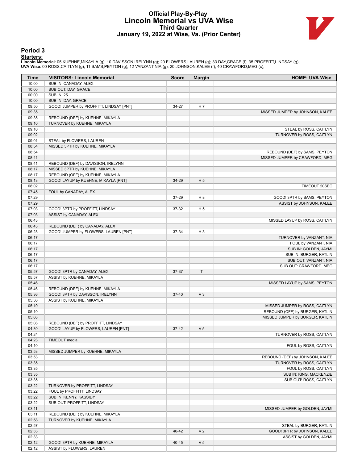# **Official Play-By-Play Lincoln Memorial vs UVA Wise Third Quarter January 19, 2022 at Wise, Va. (Prior Center)**



### **Period 3**

<mark>Starters:</mark><br>Lincoln Memorial: 05 KUEHNE,MIKAYLA (g); 10 DAVISSON,IRELYNN (g); 20 FLOWERS,LAUREN (g); 33 DAY,GRACE (f); 35 PROFFITT,LINDSAY (g);<br>**UVA Wise**: 00 ROSS,CAITLYN (g); 11 SAMS,PEYTON (g); 12 VANZANT,NIA (g); 20 JO

| Time           | <b>VISITORS: Lincoln Memorial</b>       | <b>Score</b> | <b>Margin</b>  | <b>HOME: UVA Wise</b>                                        |
|----------------|-----------------------------------------|--------------|----------------|--------------------------------------------------------------|
| 10:00          | SUB IN: CANADAY, ALEX                   |              |                |                                                              |
| 10:00          | SUB OUT: DAY, GRACE                     |              |                |                                                              |
| 00:00          | <b>SUB IN: 25</b>                       |              |                |                                                              |
| 10:00          | SUB IN: DAY, GRACE                      |              |                |                                                              |
| 09:50          | GOOD! JUMPER by PROFFITT, LINDSAY [PNT] | 34-27        | H 7            |                                                              |
| 09:35          |                                         |              |                | MISSED JUMPER by JOHNSON, KALEE                              |
| 09:35          | REBOUND (DEF) by KUEHNE, MIKAYLA        |              |                |                                                              |
| 09:10<br>09:10 | TURNOVER by KUEHNE, MIKAYLA             |              |                | STEAL by ROSS, CAITLYN                                       |
| 09:02          |                                         |              |                | TURNOVER by ROSS, CAITLYN                                    |
| 09:01          | STEAL by FLOWERS, LAUREN                |              |                |                                                              |
| 08:54          | MISSED 3PTR by KUEHNE, MIKAYLA          |              |                |                                                              |
| 08:54          |                                         |              |                | REBOUND (DEF) by SAMS, PEYTON                                |
| 08:41          |                                         |              |                | MISSED JUMPER by CRAWFORD, MEG                               |
| 08:41          | REBOUND (DEF) by DAVISSON, IRELYNN      |              |                |                                                              |
| 08:17          | MISSED 3PTR by KUEHNE, MIKAYLA          |              |                |                                                              |
| 08:17          | REBOUND (OFF) by KUEHNE, MIKAYLA        |              |                |                                                              |
| 08:13          | GOOD! LAYUP by KUEHNE, MIKAYLA [PNT]    | 34-29        | H <sub>5</sub> |                                                              |
| 08:02          |                                         |              |                | TIMEOUT 20SEC                                                |
| 07:45          | FOUL by CANADAY, ALEX                   |              |                |                                                              |
| 07:29          |                                         | 37-29        | H <sub>8</sub> | GOOD! 3PTR by SAMS, PEYTON                                   |
| 07:29          |                                         |              |                | ASSIST by JOHNSON, KALEE                                     |
| 07:03          | GOOD! 3PTR by PROFFITT, LINDSAY         | 37-32        | H 5            |                                                              |
| 07:03          | ASSIST by CANADAY, ALEX                 |              |                |                                                              |
| 06:43          |                                         |              |                | MISSED LAYUP by ROSS, CAITLYN                                |
| 06:43          | REBOUND (DEF) by CANADAY, ALEX          |              |                |                                                              |
| 06:28          | GOOD! JUMPER by FLOWERS, LAUREN [PNT]   | 37-34        | H <sub>3</sub> |                                                              |
| 06:17<br>06:17 |                                         |              |                | TURNOVER by VANZANT, NIA                                     |
| 06:17          |                                         |              |                | FOUL by VANZANT, NIA<br>SUB IN: GOLDEN, JAYMI                |
| 06:17          |                                         |              |                | SUB IN: BURGER, KATLIN                                       |
| 06:17          |                                         |              |                | SUB OUT: VANZANT, NIA                                        |
| 06:17          |                                         |              |                | SUB OUT: CRAWFORD, MEG                                       |
| 05:57          | GOOD! 3PTR by CANADAY, ALEX             | 37-37        | $\top$         |                                                              |
| 05:57          | ASSIST by KUEHNE, MIKAYLA               |              |                |                                                              |
| 05:46          |                                         |              |                | MISSED LAYUP by SAMS, PEYTON                                 |
| 05:46          | REBOUND (DEF) by KUEHNE, MIKAYLA        |              |                |                                                              |
| 05:36          | GOOD! 3PTR by DAVISSON, IRELYNN         | 37-40        | $V_3$          |                                                              |
| 05:36          | ASSIST by KUEHNE, MIKAYLA               |              |                |                                                              |
| 05:10          |                                         |              |                | MISSED JUMPER by ROSS, CAITLYN                               |
| 05:10          |                                         |              |                | REBOUND (OFF) by BURGER, KATLIN                              |
| 05:08          |                                         |              |                | MISSED JUMPER by BURGER, KATLIN                              |
| 05:08          | REBOUND (DEF) by PROFFITT, LINDSAY      |              |                |                                                              |
| 04:30          | GOOD! LAYUP by FLOWERS, LAUREN [PNT]    | $37-42$      | V <sub>5</sub> |                                                              |
| 04:24          |                                         |              |                | TURNOVER by ROSS, CAITLYN                                    |
| 04:23          | TIMEOUT media                           |              |                |                                                              |
| 04:10          |                                         |              |                | FOUL by ROSS, CAITLYN                                        |
| 03:53          | MISSED JUMPER by KUEHNE, MIKAYLA        |              |                |                                                              |
| 03:53          |                                         |              |                | REBOUND (DEF) by JOHNSON, KALEE<br>TURNOVER by ROSS, CAITLYN |
| 03:35<br>03:35 |                                         |              |                | FOUL by ROSS, CAITLYN                                        |
| 03:35          |                                         |              |                | SUB IN: KING, MACKENZIE                                      |
| 03:35          |                                         |              |                | SUB OUT: ROSS, CAITLYN                                       |
| 03:22          | TURNOVER by PROFFITT, LINDSAY           |              |                |                                                              |
| 03:22          | FOUL by PROFFITT, LINDSAY               |              |                |                                                              |
| 03:22          | SUB IN: KENNY, KASSIDY                  |              |                |                                                              |
| 03:22          | SUB OUT: PROFFITT, LINDSAY              |              |                |                                                              |
| 03:11          |                                         |              |                | MISSED JUMPER by GOLDEN, JAYMI                               |
| 03:11          | REBOUND (DEF) by KUEHNE, MIKAYLA        |              |                |                                                              |
| 02:58          | TURNOVER by KUEHNE, MIKAYLA             |              |                |                                                              |
| 02:57          |                                         |              |                | STEAL by BURGER, KATLIN                                      |
| 02:33          |                                         | 40-42        | V <sub>2</sub> | GOOD! 3PTR by JOHNSON, KALEE                                 |
| 02:33          |                                         |              |                | ASSIST by GOLDEN, JAYMI                                      |
| 02:12          | GOOD! 3PTR by KUEHNE, MIKAYLA           | 40-45        | V <sub>5</sub> |                                                              |
| 02:12          | ASSIST by FLOWERS, LAUREN               |              |                |                                                              |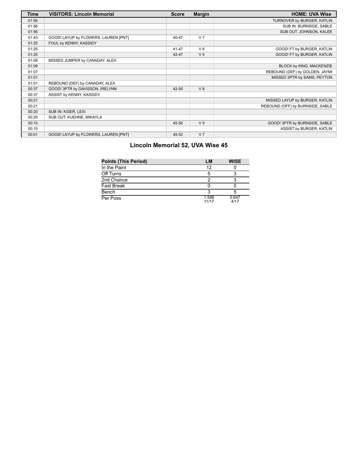| <b>Time</b> | <b>VISITORS: Lincoln Memorial</b>    | <b>Score</b> | <b>Margin</b>  | <b>HOME: UVA Wise</b>            |
|-------------|--------------------------------------|--------------|----------------|----------------------------------|
| 01:56       |                                      |              |                | TURNOVER by BURGER, KATLIN       |
| 01:56       |                                      |              |                | SUB IN: BURNSIDE, SABLE          |
| 01:56       |                                      |              |                | SUB OUT: JOHNSON, KALEE          |
| 01:43       | GOOD! LAYUP by FLOWERS, LAUREN [PNT] | 40-47        | V <sub>7</sub> |                                  |
| 01:25       | FOUL by KENNY, KASSIDY               |              |                |                                  |
| 01:25       |                                      | 41-47        | $V_6$          | GOOD! FT by BURGER, KATLIN       |
| 01:25       |                                      | 42-47        | V <sub>5</sub> | GOOD! FT by BURGER, KATLIN       |
| 01:08       | MISSED JUMPER by CANADAY, ALEX       |              |                |                                  |
| 01:08       |                                      |              |                | BLOCK by KING, MACKENZIE         |
| 01:07       |                                      |              |                | REBOUND (DEF) by GOLDEN, JAYMI   |
| 01:01       |                                      |              |                | MISSED 3PTR by SAMS, PEYTON      |
| 01:01       | REBOUND (DEF) by CANADAY, ALEX       |              |                |                                  |
| 00:37       | GOOD! 3PTR by DAVISSON, IRELYNN      | 42-50        | V8             |                                  |
| 00:37       | ASSIST by KENNY, KASSIDY             |              |                |                                  |
| 00:21       |                                      |              |                | MISSED LAYUP by BURGER, KATLIN   |
| 00:21       |                                      |              |                | REBOUND (OFF) by BURNSIDE, SABLE |
| 00:20       | SUB IN: KISER, LEXI                  |              |                |                                  |
| 00:20       | SUB OUT: KUEHNE, MIKAYLA             |              |                |                                  |
| 00:10       |                                      | 45-50        | V <sub>5</sub> | GOOD! 3PTR by BURNSIDE, SABLE    |
| 00:10       |                                      |              |                | ASSIST by BURGER, KATLIN         |
| 00:01       | GOOD! LAYUP by FLOWERS, LAUREN [PNT] | 45-52        | V <sub>7</sub> |                                  |

# **Lincoln Memorial 52, UVA Wise 45**

| <b>Points (This Period)</b> | LM             | <b>WISE</b>   |
|-----------------------------|----------------|---------------|
| In the Paint                | 12             |               |
| Off Turns                   |                |               |
| 2nd Chance                  |                |               |
| Fast Break                  |                |               |
| Bench                       |                |               |
| Per Poss                    | 1.588<br>11/17 | 0.647<br>4/17 |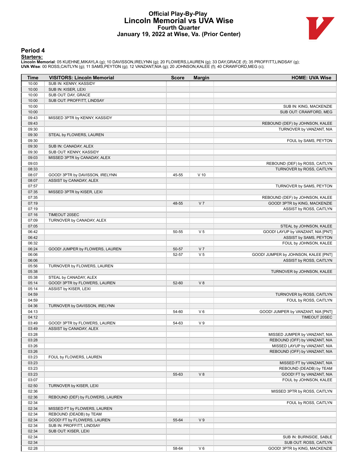# **Official Play-By-Play Lincoln Memorial vs UVA Wise Fourth Quarter January 19, 2022 at Wise, Va. (Prior Center)**



### **Period 4**

<mark>Starters:</mark><br>Lincoln Memorial: 05 KUEHNE,MIKAYLA (g); 10 DAVISSON,IRELYNN (g); 20 FLOWERS,LAUREN (g); 33 DAY,GRACE (f); 35 PROFFITT,LINDSAY (g);<br>**UVA Wise**: 00 ROSS,CAITLYN (g); 11 SAMS,PEYTON (g); 12 VANZANT,NIA (g); 20 JO

| Time           | <b>VISITORS: Lincoln Memorial</b> | <b>Score</b> | <b>Margin</b>  | <b>HOME: UVA Wise</b>                |
|----------------|-----------------------------------|--------------|----------------|--------------------------------------|
| 10:00          | SUB IN: KENNY, KASSIDY            |              |                |                                      |
| 10:00          | SUB IN: KISER, LEXI               |              |                |                                      |
| 10:00          | SUB OUT: DAY, GRACE               |              |                |                                      |
| 10:00          | SUB OUT: PROFFITT, LINDSAY        |              |                |                                      |
| 10:00          |                                   |              |                | SUB IN: KING, MACKENZIE              |
| 10:00          |                                   |              |                | SUB OUT: CRAWFORD, MEG               |
| 09:43          | MISSED 3PTR by KENNY, KASSIDY     |              |                |                                      |
| 09:43          |                                   |              |                | REBOUND (DEF) by JOHNSON, KALEE      |
| 09:30<br>09:30 | STEAL by FLOWERS, LAUREN          |              |                | TURNOVER by VANZANT, NIA             |
| 09:30          |                                   |              |                | FOUL by SAMS, PEYTON                 |
| 09:30          | SUB IN: CANADAY, ALEX             |              |                |                                      |
| 09:30          | SUB OUT: KENNY, KASSIDY           |              |                |                                      |
| 09:03          | MISSED 3PTR by CANADAY, ALEX      |              |                |                                      |
| 09:03          |                                   |              |                | REBOUND (DEF) by ROSS, CAITLYN       |
| 08:33          |                                   |              |                | TURNOVER by ROSS, CAITLYN            |
| 08:07          | GOOD! 3PTR by DAVISSON, IRELYNN   | 45-55        | $V$ 10         |                                      |
| 08:07          | ASSIST by CANADAY, ALEX           |              |                |                                      |
| 07:57          |                                   |              |                | TURNOVER by SAMS, PEYTON             |
| 07:35          | MISSED 3PTR by KISER, LEXI        |              |                |                                      |
| 07:35          |                                   |              |                | REBOUND (DEF) by JOHNSON, KALEE      |
| 07:19          |                                   | 48-55        | V <sub>7</sub> | GOOD! 3PTR by KING, MACKENZIE        |
| 07:19          |                                   |              |                | ASSIST by ROSS, CAITLYN              |
| 07:16          | TIMEOUT 20SEC                     |              |                |                                      |
| 07:09<br>07:05 | TURNOVER by CANADAY, ALEX         |              |                | STEAL by JOHNSON, KALEE              |
| 06:42          |                                   | 50-55        | V <sub>5</sub> | GOOD! LAYUP by VANZANT, NIA [PNT]    |
| 06:42          |                                   |              |                | ASSIST by SAMS, PEYTON               |
| 06:32          |                                   |              |                | FOUL by JOHNSON, KALEE               |
| 06:24          | GOOD! JUMPER by FLOWERS, LAUREN   | 50-57        | V <sub>7</sub> |                                      |
| 06:06          |                                   | 52-57        | V <sub>5</sub> | GOOD! JUMPER by JOHNSON, KALEE [PNT] |
| 06:06          |                                   |              |                | ASSIST by ROSS, CAITLYN              |
| 05:56          | TURNOVER by FLOWERS, LAUREN       |              |                |                                      |
| 05:38          |                                   |              |                | TURNOVER by JOHNSON, KALEE           |
| 05:38          | STEAL by CANADAY, ALEX            |              |                |                                      |
| 05:14          | GOOD! 3PTR by FLOWERS, LAUREN     | 52-60        | V 8            |                                      |
| 05:14          | ASSIST by KISER, LEXI             |              |                |                                      |
| 04:59          |                                   |              |                | TURNOVER by ROSS, CAITLYN            |
| 04:59          |                                   |              |                | FOUL by ROSS, CAITLYN                |
| 04:36          | TURNOVER by DAVISSON, IRELYNN     |              | $V_6$          | GOOD! JUMPER by VANZANT, NIA [PNT]   |
| 04:13<br>04:12 |                                   | 54-60        |                | TIMEOUT 20SEC                        |
| 03:49          | GOOD! 3PTR by FLOWERS, LAUREN     | 54-63        | V <sub>9</sub> |                                      |
| 03:49          | ASSIST by CANADAY, ALEX           |              |                |                                      |
| 03:28          |                                   |              |                | MISSED JUMPER by VANZANT, NIA        |
| 03:28          |                                   |              |                | REBOUND (OFF) by VANZANT, NIA        |
| 03:26          |                                   |              |                | MISSED LAYUP by VANZANT, NIA         |
| 03:26          |                                   |              |                | REBOUND (OFF) by VANZANT, NIA        |
| 03:23          | FOUL by FLOWERS, LAUREN           |              |                |                                      |
| 03:23          |                                   |              |                | MISSED FT by VANZANT, NIA            |
| 03:23          |                                   |              |                | REBOUND (DEADB) by TEAM              |
| 03:23          |                                   | 55-63        | V8             | GOOD! FT by VANZANT, NIA             |
| 03:07          |                                   |              |                | FOUL by JOHNSON, KALEE               |
| 02:50          | TURNOVER by KISER, LEXI           |              |                |                                      |
| 02:36          |                                   |              |                | MISSED 3PTR by ROSS, CAITLYN         |
| 02:36          | REBOUND (DEF) by FLOWERS, LAUREN  |              |                | FOUL by ROSS, CAITLYN                |
| 02:34<br>02:34 | MISSED FT by FLOWERS, LAUREN      |              |                |                                      |
| 02:34          | REBOUND (DEADB) by TEAM           |              |                |                                      |
| 02:34          | GOOD! FT by FLOWERS, LAUREN       | 55-64        | V <sub>9</sub> |                                      |
| 02:34          | SUB IN: PROFFITT, LINDSAY         |              |                |                                      |
| 02:34          | SUB OUT: KISER, LEXI              |              |                |                                      |
| 02:34          |                                   |              |                | SUB IN: BURNSIDE, SABLE              |
| 02:34          |                                   |              |                | SUB OUT: ROSS, CAITLYN               |
| 02:28          |                                   | 58-64        | $V_6$          | GOOD! 3PTR by KING, MACKENZIE        |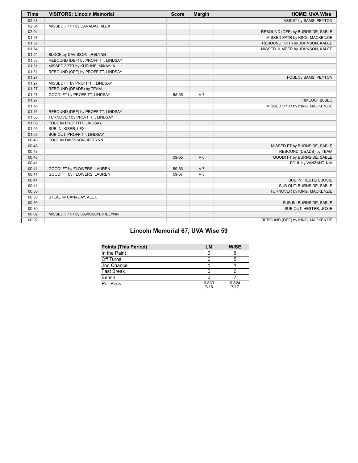| <b>Time</b> | <b>VISITORS: Lincoln Memorial</b>  | <b>Score</b> | <b>Margin</b>  | <b>HOME: UVA Wise</b>            |
|-------------|------------------------------------|--------------|----------------|----------------------------------|
| 02:28       |                                    |              |                | ASSIST by SAMS, PEYTON           |
| 02:04       | MISSED 3PTR by CANADAY, ALEX       |              |                |                                  |
| 02:04       |                                    |              |                | REBOUND (DEF) by BURNSIDE, SABLE |
| 01:57       |                                    |              |                | MISSED 3PTR by KING, MACKENZIE   |
| 01:57       |                                    |              |                | REBOUND (OFF) by JOHNSON, KALEE  |
| 01:54       |                                    |              |                | MISSED JUMPER by JOHNSON, KALEE  |
| 01:54       | BLOCK by DAVISSON, IRELYNN         |              |                |                                  |
| 01:53       | REBOUND (DEF) by PROFFITT, LINDSAY |              |                |                                  |
| 01:31       | MISSED 3PTR by KUEHNE, MIKAYLA     |              |                |                                  |
| 01:31       | REBOUND (OFF) by PROFFITT, LINDSAY |              |                |                                  |
| 01:27       |                                    |              |                | FOUL by SAMS, PEYTON             |
| 01:27       | MISSED FT by PROFFITT, LINDSAY     |              |                |                                  |
| 01:27       | REBOUND (DEADB) by TEAM            |              |                |                                  |
| 01:27       | GOOD! FT by PROFFITT, LINDSAY      | 58-65        | V <sub>7</sub> |                                  |
| 01:27       |                                    |              |                | TIMEOUT 20SEC                    |
| 01:16       |                                    |              |                | MISSED 3PTR by KING, MACKENZIE   |
| 01:16       | REBOUND (DEF) by PROFFITT, LINDSAY |              |                |                                  |
| 01:05       | TURNOVER by PROFFITT, LINDSAY      |              |                |                                  |
| 01:05       | FOUL by PROFFITT, LINDSAY          |              |                |                                  |
| 01:05       | SUB IN: KISER, LEXI                |              |                |                                  |
| 01:05       | SUB OUT: PROFFITT, LINDSAY         |              |                |                                  |
| 00:48       | FOUL by DAVISSON, IRELYNN          |              |                |                                  |
| 00:48       |                                    |              |                | MISSED FT by BURNSIDE, SABLE     |
| 00:48       |                                    |              |                | REBOUND (DEADB) by TEAM          |
| 00:48       |                                    | 59-65        | $V_6$          | GOOD! FT by BURNSIDE, SABLE      |
| 00:41       |                                    |              |                | FOUL by VANZANT, NIA             |
| 00:41       | GOOD! FT by FLOWERS, LAUREN        | 59-66        | V <sub>7</sub> |                                  |
| 00:41       | GOOD! FT by FLOWERS, LAUREN        | 59-67        | V <sub>8</sub> |                                  |
| 00:41       |                                    |              |                | SUB IN: HESTER, JOSIE            |
| 00:41       |                                    |              |                | SUB OUT: BURNSIDE, SABLE         |
| 00:30       |                                    |              |                | TURNOVER by KING, MACKENZIE      |
| 00:30       | STEAL by CANADAY, ALEX             |              |                |                                  |
| 00:30       |                                    |              |                | SUB IN: BURNSIDE, SABLE          |
| 00:30       |                                    |              |                | SUB OUT: HESTER, JOSIE           |
| 00:02       | MISSED 3PTR by DAVISSON, IRELYNN   |              |                |                                  |
| 00:02       |                                    |              |                | REBOUND (DEF) by KING, MACKENZIE |

# **Lincoln Memorial 67, UVA Wise 59**

| <b>Points (This Period)</b> | LM            | <b>WISE</b>   |
|-----------------------------|---------------|---------------|
| In the Paint                |               |               |
| Off Turns                   |               |               |
| 2nd Chance                  |               |               |
| <b>Fast Break</b>           |               |               |
| Bench                       |               |               |
| Per Poss                    | 0.833<br>7/18 | 0.824<br>7/17 |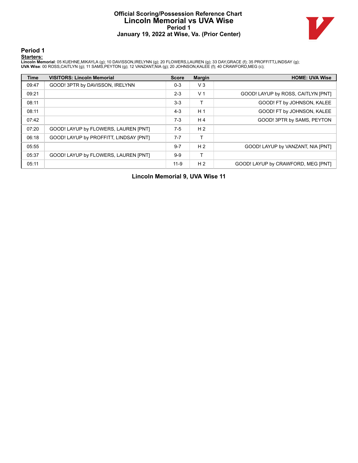# **Official Scoring/Possession Reference Chart Lincoln Memorial vs UVA Wise Period 1 January 19, 2022 at Wise, Va. (Prior Center)**



**Period 1**

<mark>Starters:</mark><br>Lincoln Memorial: 05 KUEHNE,MIKAYLA (g); 10 DAVISSON,IRELYNN (g); 20 FLOWERS,LAUREN (g); 33 DAY,GRACE (f); 35 PROFFITT,LINDSAY (g);<br>**UVA Wise**: 00 ROSS,CAITLYN (g); 11 SAMS,PEYTON (g); 12 VANZANT,NIA (g); 20 JO

| <b>Time</b> | <b>VISITORS: Lincoln Memorial</b>      | <b>Score</b> | <b>Margin</b>  | <b>HOME: UVA Wise</b>              |
|-------------|----------------------------------------|--------------|----------------|------------------------------------|
| 09:47       | GOOD! 3PTR by DAVISSON, IRELYNN        | $0 - 3$      | $V_3$          |                                    |
| 09:21       |                                        | $2 - 3$      | V <sub>1</sub> | GOOD! LAYUP by ROSS, CAITLYN [PNT] |
| 08:11       |                                        | $3-3$        |                | GOOD! FT by JOHNSON, KALEE         |
| 08:11       |                                        | $4 - 3$      | H <sub>1</sub> | GOOD! FT by JOHNSON, KALEE         |
| 07:42       |                                        | $7-3$        | H <sub>4</sub> | GOOD! 3PTR by SAMS, PEYTON         |
| 07:20       | GOOD! LAYUP by FLOWERS, LAUREN [PNT]   | $7-5$        | H <sub>2</sub> |                                    |
| 06:18       | GOOD! LAYUP by PROFFITT, LINDSAY [PNT] | $7 - 7$      |                |                                    |
| 05:55       |                                        | $9 - 7$      | H <sub>2</sub> | GOOD! LAYUP by VANZANT, NIA [PNT]  |
| 05:37       | GOOD! LAYUP by FLOWERS, LAUREN [PNT]   | $9-9$        |                |                                    |
| 05:11       |                                        | $11 - 9$     | H <sub>2</sub> | GOOD! LAYUP by CRAWFORD, MEG [PNT] |

**Lincoln Memorial 9, UVA Wise 11**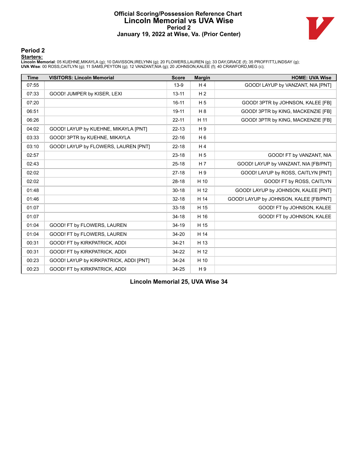# **Official Scoring/Possession Reference Chart Lincoln Memorial vs UVA Wise Period 2 January 19, 2022 at Wise, Va. (Prior Center)**



### **Period 2**

#### **Starters:**

Lincoln Memorial: 05 KUEHNE,MIKAYLA (g); 10 DAVISSON,IRELYNN (g); 20 FLOWERS,LAUREN (g); 33 DAY,GRACE (f); 35 PROFFITT,LINDSAY (g);<br>**UVA Wise**: 00 ROSS,CAITLYN (g); 11 SAMS,PEYTON (g); 12 VANZANT,NIA (g); 20 JOHNSON,KALEE

| <b>Time</b> | <b>VISITORS: Lincoln Memorial</b>      | <b>Score</b> | <b>Margin</b>  | <b>HOME: UVA Wise</b>                  |
|-------------|----------------------------------------|--------------|----------------|----------------------------------------|
| 07:55       |                                        | $13-9$       | H <sub>4</sub> | GOOD! LAYUP by VANZANT, NIA [PNT]      |
| 07:33       | GOOD! JUMPER by KISER, LEXI            | $13 - 11$    | H <sub>2</sub> |                                        |
| 07:20       |                                        | $16 - 11$    | H <sub>5</sub> | GOOD! 3PTR by JOHNSON, KALEE [FB]      |
| 06:51       |                                        | $19 - 11$    | H8             | GOOD! 3PTR by KING, MACKENZIE [FB]     |
| 06:26       |                                        | $22 - 11$    | H 11           | GOOD! 3PTR by KING, MACKENZIE [FB]     |
| 04:02       | GOOD! LAYUP by KUEHNE, MIKAYLA [PNT]   | $22 - 13$    | H <sub>9</sub> |                                        |
| 03:33       | GOOD! 3PTR by KUEHNE, MIKAYLA          | $22 - 16$    | H <sub>6</sub> |                                        |
| 03:10       | GOOD! LAYUP by FLOWERS, LAUREN [PNT]   | $22 - 18$    | H <sub>4</sub> |                                        |
| 02:57       |                                        | $23-18$      | H <sub>5</sub> | GOOD! FT by VANZANT, NIA               |
| 02:43       |                                        | $25 - 18$    | H 7            | GOOD! LAYUP by VANZANT, NIA [FB/PNT]   |
| 02:02       |                                        | $27-18$      | H <sub>9</sub> | GOOD! LAYUP by ROSS, CAITLYN [PNT]     |
| 02:02       |                                        | $28-18$      | H 10           | GOOD! FT by ROSS, CAITLYN              |
| 01:48       |                                        | $30 - 18$    | H 12           | GOOD! LAYUP by JOHNSON, KALEE [PNT]    |
| 01:46       |                                        | $32 - 18$    | H 14           | GOOD! LAYUP by JOHNSON, KALEE [FB/PNT] |
| 01:07       |                                        | $33 - 18$    | H 15           | GOOD! FT by JOHNSON, KALEE             |
| 01:07       |                                        | $34 - 18$    | H 16           | GOOD! FT by JOHNSON, KALEE             |
| 01:04       | GOOD! FT by FLOWERS, LAUREN            | 34-19        | H 15           |                                        |
| 01:04       | GOOD! FT by FLOWERS, LAUREN            | $34 - 20$    | H 14           |                                        |
| 00:31       | GOOD! FT by KIRKPATRICK, ADDI          | $34 - 21$    | H 13           |                                        |
| 00:31       | GOOD! FT by KIRKPATRICK, ADDI          | 34-22        | H 12           |                                        |
| 00:23       | GOOD! LAYUP by KIRKPATRICK, ADDI [PNT] | 34-24        | H 10           |                                        |
| 00:23       | GOOD! FT by KIRKPATRICK, ADDI          | 34-25        | H9             |                                        |

**Lincoln Memorial 25, UVA Wise 34**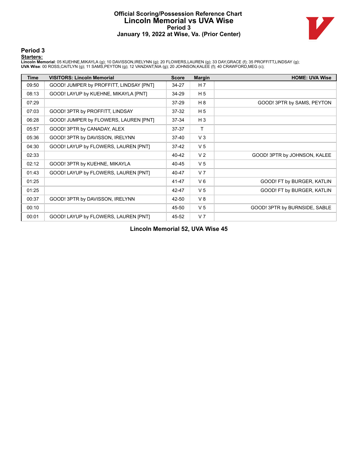# **Official Scoring/Possession Reference Chart Lincoln Memorial vs UVA Wise Period 3 January 19, 2022 at Wise, Va. (Prior Center)**



**Period 3**

#### **Starters:**

Lincoln Memorial: 05 KUEHNE,MIKAYLA (g); 10 DAVISSON,IRELYNN (g); 20 FLOWERS,LAUREN (g); 33 DAY,GRACE (f); 35 PROFFITT,LINDSAY (g);<br>**UVA Wise**: 00 ROSS,CAITLYN (g); 11 SAMS,PEYTON (g); 12 VANZANT,NIA (g); 20 JOHNSON,KALEE

| <b>Time</b> | <b>VISITORS: Lincoln Memorial</b>       | <b>Score</b> | <b>Margin</b>  | <b>HOME: UVA Wise</b>         |
|-------------|-----------------------------------------|--------------|----------------|-------------------------------|
| 09:50       | GOOD! JUMPER by PROFFITT, LINDSAY [PNT] | 34-27        | H 7            |                               |
| 08:13       | GOOD! LAYUP by KUEHNE, MIKAYLA [PNT]    | 34-29        | H <sub>5</sub> |                               |
| 07:29       |                                         | $37 - 29$    | H 8            | GOOD! 3PTR by SAMS, PEYTON    |
| 07:03       | GOOD! 3PTR by PROFFITT, LINDSAY         | $37-32$      | H <sub>5</sub> |                               |
| 06:28       | GOOD! JUMPER by FLOWERS, LAUREN [PNT]   | 37-34        | $H_3$          |                               |
| 05:57       | GOOD! 3PTR by CANADAY, ALEX             | 37-37        | T.             |                               |
| 05:36       | GOOD! 3PTR by DAVISSON, IRELYNN         | 37-40        | V <sub>3</sub> |                               |
| 04:30       | GOOD! LAYUP by FLOWERS, LAUREN [PNT]    | 37-42        | V <sub>5</sub> |                               |
| 02:33       |                                         | 40-42        | V <sub>2</sub> | GOOD! 3PTR by JOHNSON, KALEE  |
| 02:12       | GOOD! 3PTR by KUEHNE, MIKAYLA           | 40-45        | V <sub>5</sub> |                               |
| 01:43       | GOOD! LAYUP by FLOWERS, LAUREN [PNT]    | 40-47        | V <sub>7</sub> |                               |
| 01:25       |                                         | 41-47        | $V_6$          | GOOD! FT by BURGER, KATLIN    |
| 01:25       |                                         | 42-47        | V <sub>5</sub> | GOOD! FT by BURGER, KATLIN    |
| 00:37       | GOOD! 3PTR by DAVISSON, IRELYNN         | 42-50        | V8             |                               |
| 00:10       |                                         | 45-50        | V <sub>5</sub> | GOOD! 3PTR by BURNSIDE, SABLE |
| 00:01       | GOOD! LAYUP by FLOWERS, LAUREN [PNT]    | 45-52        | V <sub>7</sub> |                               |

**Lincoln Memorial 52, UVA Wise 45**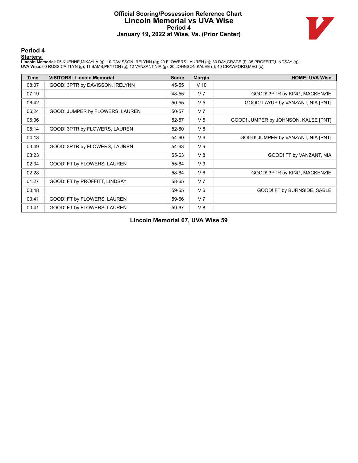# **Official Scoring/Possession Reference Chart Lincoln Memorial vs UVA Wise Period 4 January 19, 2022 at Wise, Va. (Prior Center)**



**Period 4**

#### **Starters:**

Lincoln Memorial: 05 KUEHNE,MIKAYLA (g); 10 DAVISSON,IRELYNN (g); 20 FLOWERS,LAUREN (g); 33 DAY,GRACE (f); 35 PROFFITT,LINDSAY (g);<br>**UVA Wise**: 00 ROSS,CAITLYN (g); 11 SAMS,PEYTON (g); 12 VANZANT,NIA (g); 20 JOHNSON,KALEE

| Time  | <b>VISITORS: Lincoln Memorial</b> | <b>Score</b> | <b>Margin</b>  | <b>HOME: UVA Wise</b>                |
|-------|-----------------------------------|--------------|----------------|--------------------------------------|
| 08:07 | GOOD! 3PTR by DAVISSON, IRELYNN   | 45-55        | $V$ 10         |                                      |
| 07:19 |                                   | 48-55        | V <sub>7</sub> | GOOD! 3PTR by KING, MACKENZIE        |
| 06:42 |                                   | 50-55        | V <sub>5</sub> | GOOD! LAYUP by VANZANT, NIA [PNT]    |
| 06:24 | GOOD! JUMPER by FLOWERS, LAUREN   | 50-57        | V <sub>7</sub> |                                      |
| 06:06 |                                   | 52-57        | V <sub>5</sub> | GOOD! JUMPER by JOHNSON, KALEE [PNT] |
| 05:14 | GOOD! 3PTR by FLOWERS, LAUREN     | 52-60        | V8             |                                      |
| 04:13 |                                   | 54-60        | $V_6$          | GOOD! JUMPER by VANZANT, NIA [PNT]   |
| 03:49 | GOOD! 3PTR by FLOWERS, LAUREN     | 54-63        | V <sub>9</sub> |                                      |
| 03:23 |                                   | 55-63        | V8             | GOOD! FT by VANZANT, NIA             |
| 02:34 | GOOD! FT by FLOWERS, LAUREN       | 55-64        | V <sub>9</sub> |                                      |
| 02:28 |                                   | 58-64        | $V_6$          | GOOD! 3PTR by KING, MACKENZIE        |
| 01:27 | GOOD! FT by PROFFITT, LINDSAY     | 58-65        | V <sub>7</sub> |                                      |
| 00:48 |                                   | 59-65        | $V_6$          | GOOD! FT by BURNSIDE, SABLE          |
| 00:41 | GOOD! FT by FLOWERS, LAUREN       | 59-66        | V <sub>7</sub> |                                      |
| 00:41 | GOOD! FT by FLOWERS, LAUREN       | 59-67        | V8             |                                      |

**Lincoln Memorial 67, UVA Wise 59**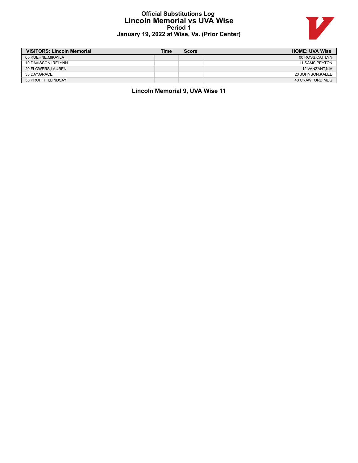# **Official Substitutions Log Lincoln Memorial vs UVA Wise Period 1 January 19, 2022 at Wise, Va. (Prior Center)**



| <b>VISITORS: Lincoln Memorial</b> | Time | <b>Score</b> | <b>HOME: UVA Wise</b> |
|-----------------------------------|------|--------------|-----------------------|
| 05 KUEHNE.MIKAYLA                 |      |              | 00 ROSS.CAITLYN       |
| 10 DAVISSON, IRELYNN              |      |              | 11 SAMS.PEYTON        |
| 20 FLOWERS.LAUREN                 |      |              | <b>12 VANZANT.NIA</b> |
| 33 DAY.GRACE                      |      |              | 20 JOHNSON.KALEE      |
| 35 PROFFITT.LINDSAY               |      |              | 40 CRAWFORD.MEG       |

**Lincoln Memorial 9, UVA Wise 11**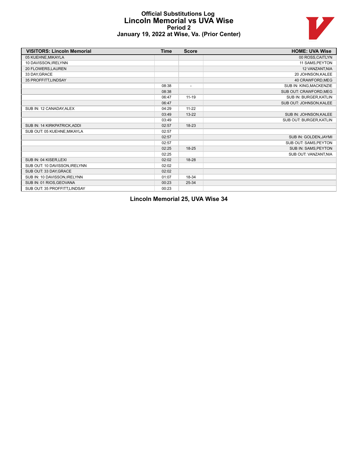# **Official Substitutions Log Lincoln Memorial vs UVA Wise Period 2 January 19, 2022 at Wise, Va. (Prior Center)**



| <b>VISITORS: Lincoln Memorial</b> | <b>Time</b> | <b>Score</b>             | <b>HOME: UVA Wise</b>   |
|-----------------------------------|-------------|--------------------------|-------------------------|
| 05 KUEHNE, MIKAYLA                |             |                          | 00 ROSS, CAITLYN        |
| 10 DAVISSON.IRELYNN               |             |                          | 11 SAMS, PEYTON         |
| 20 FLOWERS, LAUREN                |             |                          | 12 VANZANT, NIA         |
| 33 DAY, GRACE                     |             |                          | 20 JOHNSON, KALEE       |
| 35 PROFFITT, LINDSAY              |             |                          | 40 CRAWFORD, MEG        |
|                                   | 08:38       | $\overline{\phantom{a}}$ | SUB IN: KING, MACKENZIE |
|                                   | 08:38       |                          | SUB OUT: CRAWFORD, MEG  |
|                                   | 06:47       | $11 - 19$                | SUB IN: BURGER, KATLIN  |
|                                   | 06:47       |                          | SUB OUT: JOHNSON, KALEE |
| SUB IN: 12 CANADAY, ALEX          | 04:29       | $11 - 22$                |                         |
|                                   | 03:49       | $13 - 22$                | SUB IN: JOHNSON, KALEE  |
|                                   | 03:49       |                          | SUB OUT: BURGER, KATLIN |
| SUB IN: 14 KIRKPATRICK, ADDI      | 02:57       | 18-23                    |                         |
| SUB OUT: 05 KUEHNE, MIKAYLA       | 02:57       |                          |                         |
|                                   | 02:57       |                          | SUB IN: GOLDEN, JAYMI   |
|                                   | 02:57       |                          | SUB OUT: SAMS, PEYTON   |
|                                   | 02:25       | $18 - 25$                | SUB IN: SAMS, PEYTON    |
|                                   | 02:25       |                          | SUB OUT: VANZANT, NIA   |
| SUB IN: 04 KISER, LEXI            | 02:02       | 18-28                    |                         |
| SUB OUT: 10 DAVISSON, IRELYNN     | 02:02       |                          |                         |
| SUB OUT: 33 DAY, GRACE            | 02:02       |                          |                         |
| SUB IN: 10 DAVISSON, IRELYNN      | 01:07       | 18-34                    |                         |
| SUB IN: 01 RIOS, GEOVANA          | 00:23       | 25-34                    |                         |
| SUB OUT: 35 PROFFITT, LINDSAY     | 00:23       |                          |                         |

**Lincoln Memorial 25, UVA Wise 34**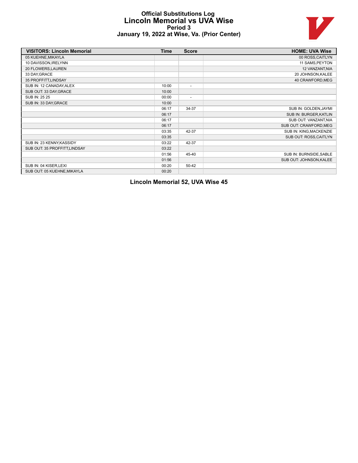# **Official Substitutions Log Lincoln Memorial vs UVA Wise Period 3 January 19, 2022 at Wise, Va. (Prior Center)**



| <b>VISITORS: Lincoln Memorial</b> | <b>Time</b> | <b>Score</b>             | <b>HOME: UVA Wise</b>   |
|-----------------------------------|-------------|--------------------------|-------------------------|
| 05 KUEHNE, MIKAYLA                |             |                          | 00 ROSS, CAITLYN        |
| 10 DAVISSON, IRELYNN              |             |                          | 11 SAMS, PEYTON         |
| 20 FLOWERS, LAUREN                |             |                          | 12 VANZANT, NIA         |
| 33 DAY, GRACE                     |             |                          | 20 JOHNSON, KALEE       |
| 35 PROFFITT, LINDSAY              |             |                          | 40 CRAWFORD, MEG        |
| SUB IN: 12 CANADAY, ALEX          | 10:00       | $\overline{\phantom{a}}$ |                         |
| SUB OUT: 33 DAY GRACE             | 10:00       |                          |                         |
| SUB IN: 25 25                     | 00:00       | $\overline{\phantom{a}}$ |                         |
| SUB IN: 33 DAY, GRACE             | 10:00       |                          |                         |
|                                   | 06:17       | 34-37                    | SUB IN: GOLDEN, JAYMI   |
|                                   | 06:17       |                          | SUB IN: BURGER, KATLIN  |
|                                   | 06:17       |                          | SUB OUT: VANZANT, NIA   |
|                                   | 06:17       |                          | SUB OUT: CRAWFORD, MEG  |
|                                   | 03:35       | 42-37                    | SUB IN: KING, MACKENZIE |
|                                   | 03:35       |                          | SUB OUT: ROSS, CAITLYN  |
| SUB IN: 23 KENNY, KASSIDY         | 03:22       | 42-37                    |                         |
| SUB OUT: 35 PROFFITT, LINDSAY     | 03:22       |                          |                         |
|                                   | 01:56       | 45-40                    | SUB IN: BURNSIDE, SABLE |
|                                   | 01:56       |                          | SUB OUT: JOHNSON, KALEE |
| SUB IN: 04 KISER, LEXI            | 00:20       | 50-42                    |                         |
| SUB OUT: 05 KUEHNE, MIKAYLA       | 00:20       |                          |                         |

**Lincoln Memorial 52, UVA Wise 45**